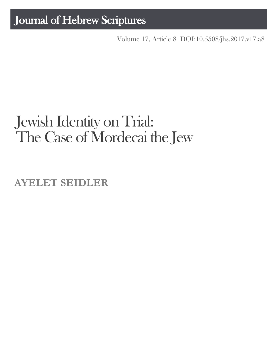## Journal of Hebrew Scriptures

Volume 17, Article 8 [DOI:10.5508/jhs.2017.v17.a8](http://dx.doi.org/10.5508/jhs.2017.v17.a8)

# Jewish Identity on Trial: The Case of Mordecai the Jew

**AYELET SEIDLER**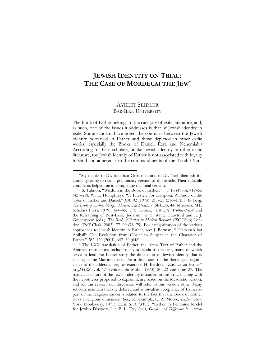### **JEWISH IDENTITY ON TRIAL: THE CASE OF MORDECAI THE JEW\***

#### AYELET SEIDLER BAR-ILAN UNIVERSITY

The Book of Esther belongs to the category of exilic literature, and, as such, one of the issues it addresses is that of Jewish identity in exile. Some scholars have noted the contrasts between the Jewish identity portrayed in Esther and those depicted in other exilic works, especially the Books of Daniel, Ezra and Nehemiah.<sup>1</sup> According to these scholars, unlike Jewish identity in other exilic literature, the Jewish identity of Esther is not associated with loyalty to God and adherence to the commandments of the Torah.<sup>2</sup> Vari-

<sup>\*</sup>My thanks to Dr. Jonathan Grossman and to Dr. Yael Shemesh for kindly agreeing to read a preliminary version of this article. Their valuable comments helped me in completing this final version.

<sup>1</sup> S. Talmon, "Wisdom in the Book of Esther," *VT* 13 (1963), 419–55 (427–29); W. L. Humphreys, "A Lifestyle for Diaspora: A Study of the Tales of Esther and Daniel," *JBL* 92 (1973), 211–23 (216–17); S. B. Berg, *The Book of Esther: Motifs, Themes, and Structure* (SBLDS, 44; Missoula, MT: Scholars Press, 1979), 144–45; T. S. Laniak, "Esther's '*Volkcentrism*' and the Reframing of Post-Exilic Judaism," in S. White Crawford and L. J. Greenspoon (eds.), *The Book of Esther in Modern Research* (JSOTSup; London: T&T Clark, 2003), 77–90 (78–79). For categorization of the various approaches to Jewish identity in Esther, see: J. Berman, " 'Hadassah bat Abihail': The Evolution from Object to Subject in the Character of Esther," *JBL* 120 (2001), 647–69 (648).

<sup>2</sup> The LXX translation of Esther, the Alpha-Text of Esther and the Aramaic translations include many addenda to the text, many of which serve to lend the Esther story the dimension of Jewish identity that is lacking in the Masoretic text. For a discussion of the theological significance of the addenda, see, for example, H. Bardtke, "Zusätze zu Esther" in *JSHRZ*, vol. 1.1 (Gütersloh: Mohn, 1973), 20–22 and note [27.](#page-8-0) The particular nature of the Jewish identity discussed in this article, along with the hypotheses proposed to explain it, are based on the Masoretic version, and for this reason, our discussion will refer to this version alone. Many scholars maintain that the delayed and ambivalent acceptance of Esther as part of the religious canon is related to the fact that the Book of Esther lacks a religious dimension. See, for example, C. A. Moore, *Esther* (New York: Doubleday, 1971), xxxii; S. A. White, "Esther: A Feminine Model for Jewish Diaspora," in P. L. Day (ed.), *Gender and Difference in Ancient*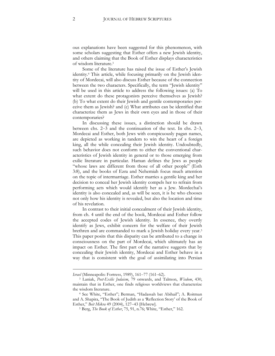ous explanations have been suggested for this phenomenon, with some scholars suggesting that Esther offers a new Jewish identity, and others claiming that the Book of Esther displays characteristics of wisdom literature.<sup>3</sup>

Some of the literature has raised the issue of Esther's Jewish identity.<sup>4</sup> This article, while focusing primarily on the Jewish identity of Mordecai, will also discuss Esther because of the connection between the two characters. Specifically, the term "Jewish identity" will be used in this article to address the following issues: (a) To what extent do these protagonists perceive themselves as Jewish? (b) To what extent do their Jewish and gentile contemporaries perceive them as Jewish? and (c) What attributes can be identified that characterize them as Jews in their own eyes and in those of their contemporaries?

In discussing these issues, a distinction should be drawn between chs. 2–3 and the continuation of the text. In chs. 2–3, Mordecai and Esther, both Jews with conspicuously pagan names, are depicted as working in tandem to win the heart of a foreign king, all the while concealing their Jewish identity. Undoubtedly, such behavior does not conform to either the conventional characteristics of Jewish identity in general or to those emerging from exilic literature in particular. Haman defines the Jews as people "whose laws are different from those of all other people" (Esth 3:8), and the books of Ezra and Nehemiah focus much attention on the topic of intermarriage. Esther marries a gentile king and her decision to conceal her Jewish identity compels her to refrain from performing acts which would identify her as a Jew. Mordechai's identity is also concealed and, as will be seen, it is he who chooses not only how his identity is revealed, but also the location and time of his revelation.

In contrast to their initial concealment of their Jewish identity, from ch. 4 until the end of the book, Mordecai and Esther follow the accepted codes of Jewish identity. In essence, they overtly identify as Jews, exhibit concern for the welfare of their Jewish brethren and are commanded to mark a Jewish holiday every year.<sup>5</sup> This paper posits that this disparity can be attributed to a change in consciousness on the part of Mordecai, which ultimately has an impact on Esther. The first part of the narrative suggests that by concealing their Jewish identity, Mordecai and Esther behave in a way that is consistent with the goal of assimilating into Persian

*Israel* (Minneapolis: Fortress, 1989), 161–77 (161–62).

<sup>3</sup> Laniak, *Post-Exilic Judaism*, 79 onwards, and Talmon, *Wisdom*, 430, maintain that in Esther, one finds religious worldviews that characterize the wisdom literature.

<sup>4</sup> See White, "Esther"; Berman, "Hadassah bat Abihail"; A. Roitman and A. Shapira, "The Book of Judith as a 'Reflection Story' of the Book of Esther," *Beit Mikra* 49 (2004), 127–43 [Hebrew].

<sup>5</sup> Berg, *The Book of Esther*, 75, 91, n.76; White, "Esther," 162.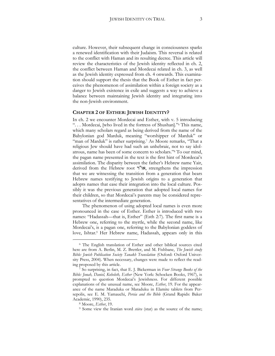culture. However, their subsequent change in consciousness sparks a renewed identification with their Judaism. This reversal is related to the conflict with Haman and its resulting decree. This article will review the characteristics of the Jewish identity reflected in ch. 2, the conflict between Haman and Mordecai related in ch. 3, as well as the Jewish identity expressed from ch. 4 onwards. This examination should support the thesis that the Book of Esther in fact perceives the phenomenon of assimilation within a foreign society as a danger to Jewish existence in exile and suggests a way to achieve a balance between maintaining Jewish identity and integrating into the non-Jewish environment.

#### **CHAPTER 2 OF ESTHER: JEWISH IDENTITY?**

In ch. 2 we encounter Mordecai and Esther, with v. 5 introducing ". . . Mordecai, [who lived in the fortress of Shushan]." <sup>6</sup> This name, which many scholars regard as being derived from the name of the Babylonian god Marduk, meaning "worshipper of Marduk" or "man of Marduk" is rather surprising.<sup>7</sup> As Moore remarks, "That a religious Jew should have had such an unhebraic, not to say idolatrous, name has been of some concern to scholars."<sup>8</sup> To our mind, the pagan name presented in the text is the first hint of Mordecai's assimilation. The disparity between the father's Hebrew name Yair, derived from the Hebrew root או"ר, strengthens the impression that we are witnessing the transition from a generation that bears Hebrew names testifying to Jewish origins to a generation that adopts names that ease their integration into the local culture. Possibly it was the previous generation that adopted local names for their children, so that Mordecai's parents may be considered representatives of the intermediate generation.

The phenomenon of using adopted local names is even more pronounced in the case of Esther. Esther is introduced with two names: "Hadassah—that is, Esther" (Esth 2:7). The first name is a Hebrew one, referring to the myrtle, while the second name, like Mordecai's, is a pagan one, referring to the Babylonian goddess of love, Ishtar.<sup>9</sup> Her Hebrew name, Hadassah, appears only in this

<sup>6</sup> The English translation of Esther and other biblical sources cited here are from A. Berlin, M. Z. Brettler, and M. Fishbane, *The Jewish study Bible: Jewish Publication Society Tanakh Translation* (Oxford: Oxford University Press, 2004). When necessary, changes were made to reflect the reading proposed by this article.

<sup>7</sup> So surprising, in fact, that E. J. Bickerman in *Four Strange Books of the Bible: Jonah, Daniel, Koheleth, Esther* (New York: Schocken Books, 1967), is prompted to question Mordecai's Jewishness. For different possible explanations of the unusual name, see Moore, *Esther*, 19. For the appearance of the name Maraduka or Maraduku in Elamite tablets from Persepolis, see E. M. Yamauchi, *Persia and the Bible* (Grand Rapids: Baker Academic, 1990), 235.

<sup>8</sup> Moore, *Esther*, 19.

<sup>9</sup> Some view the Iranian word *stāra* (star) as the source of the name;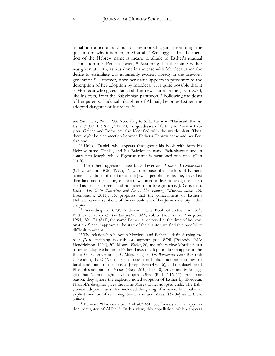initial introduction and is not mentioned again, prompting the question of why it is mentioned at all.<sup>10</sup> We suggest that the mention of the Hebrew name is meant to allude to Esther's gradual assimilation into Persian society.<sup>11</sup> Assuming that the name Esther was given at birth, as was done in the case with Mordecai, then the desire to assimilate was apparently evident already in the previous generation.<sup>12</sup> However, since her name appears in proximity to the description of her adoption by Mordecai, it is quite possible that it is Mordecai who gives Hadassah her new name, Esther, borrowed, like his own, from the Babylonian pantheon.<sup>13</sup> Following the death of her parents, Hadassah, daughter of Abihail, becomes Esther, the adopted daughter of Mordecai.<sup>14</sup>

<sup>12</sup> According to B. W. Anderson, "The Book of Esther" in G.A. Buttrick et al. (eds.), *The Interpreter's Bible*, vol. 3 (New York: Abingdon, 1954), 821–74 (841), the name Esther is bestowed at the time of her coronation. Since it appears at the start of the chapter, we find this possibility difficult to accept.

<sup>13</sup> The relationship between Mordecai and Esther is defined using the root ן"אמ, meaning nourish or support (see *BDB* [Peabody, MA: Hendrickson, 1994], 50). Moore, *Esther*, 20, and others view Mordecai as a foster or adoptive father to Esther. Laws of adoption do not appear in the Bible. G. R. Driver and J. C Miles (eds.) in *The Babylonian Laws* (Oxford: Clarendon, 1952–1955), 384, discuss the biblical adoption stories of Jacob's adoption of the sons of Joseph (Gen 48:5–6), and the daughter of Pharaoh's adoption of Moses (Exod 2:10). In n. 8, Driver and Miles suggest that Naomi might have adopted Obed (Ruth 4:16–17). For some reason, they ignore the explicitly noted adoption of Esther by Mordecai. Pharaoh's daughter gives the name Moses to her adopted child. The Babylonian adoption laws also included the giving of a name, but make no explicit mention of renaming. See Driver and Miles, *The Babylonian Laws*, 388–90.

<sup>14</sup> Berman, "Hadassah bat Abihail," 650–68, focuses on the appellation "daughter of Abihail." In his view, this appellation, which appears

see Yamauchi, *Persia*, 233. According to S. T. Lachs in "Hadassah that is Esther," *JSJ* 10 (1979), 219–20, the goddesses of fertility in Ancient Babylon, Greece and Rome are also identified with the myrtle plant. Thus, there might be a connection between Esther's Hebrew name and her Persian one.

<sup>10</sup> Unlike Daniel, who appears throughout his book with both his Hebrew name, Daniel, and his Babylonian name, Belteshazzar; and in contrast to Joseph, whose Egyptian name is mentioned only once (Gen 41:45).

<sup>11</sup> For other suggestions, see J. D. Levenson, *Esther: A Commentary* (OTL; London: SCM, 1997), 56, who proposes that the loss of Esther's name is symbolic of the fate of the Jewish people. Just as they have lost their land and their king, and are now forced to live in foreign lands, so she has lost her parents and has taken on a foreign name. J. Grossman, *Esther: The Outer Narrative and the Hidden Reading* (Winona Lake, IN: Eisenbrauns, 2011), 75, proposes that the concealment of Esther's Hebrew name is symbolic of the concealment of her Jewish identity in this chapter.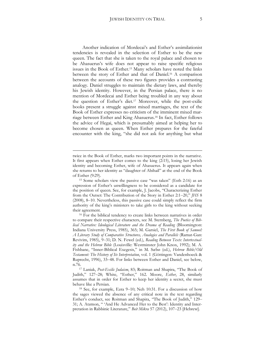Another indication of Mordecai's and Esther's assimilationist tendencies is revealed in the selection of Esther to be the new queen. The fact that she is taken to the royal palace and chosen to be Ahasuerus's wife does not appear to raise specific religious issues in the Book of Esther.<sup>15</sup> Many scholars have noted the links between the story of Esther and that of Daniel.<sup>16</sup> A comparison between the accounts of these two figures provides a contrasting analogy. Daniel struggles to maintain the dietary laws, and thereby his Jewish identity. However, in the Persian palace, there is no mention of Mordecai and Esther being troubled in any way about the question of Esther's diet.<sup>17</sup> Moreover, while the post-exilic books present a struggle against mixed marriages, the text of the Book of Esther expresses no criticism of the imminent mixed marriage between Esther and King Ahasuerus.<sup>18</sup> In fact, Esther follows the advice of Hegai, which is presumably aimed at helping her to become chosen as queen. When Esther prepares for the fateful encounter with the king, "she did not ask for anything but what

twice in the Book of Esther, marks two important points in the narrative. It first appears when Esther comes to the king (2:15), losing her Jewish identity and becoming Esther, wife of Ahasuerus. It appears again when she returns to her identity as "daughter of Abihail" at the end of the Book of Esther (9:29).

<sup>15</sup> Some scholars view the passive case "was taken" (Esth 2:16) as an expression of Esther's unwillingness to be considered as a candidate for the position of queen. See, for example, J. Jacobs, "Characterizing Esther from the Outset: The Contribution of the Story in Esther 2:1–20," *JHS* 8 (2008), 8–10. Nevertheless, this passive case could simply reflect the firm authority of the king's ministers to take girls to the king without seeking their agreement.

<sup>16</sup> For the biblical tendency to create links between narratives in order to compare their respective characters, see M. Sternberg, *The Poetics of Biblical Narrative: Ideological Literature and the Drama of Reading* (Bloomington: Indiana University Press, 1985), 365; M. Garsiel, *The First Book of Samuel: A Literary Study of Comparative Structures, Analogies and Parallels* (Ramat-Gan: Revivim, 1985), 9–31; D. N. Fewel (ed.), *Reading Between Texts: Intertextuality and the Hebrew Bible* (Louisville: Westminster John Knox, 1992); M. A. Fishbane, "Inner-Biblical Exegesis," in M. Sæbø (ed.), *Hebrew Bible/Old Testament: The History of Its Interpretation*, vol. 1 (Göttingen: Vandenhoeck & Ruprecht, 1996), 33–48. For links between Esther and Daniel, see below, n[.76.](#page-21-0) 

<sup>17</sup> Laniak, *Post-Exilic Judaism*, 83; Roitman and Shapira, "The Book of Judith," 127–28; White, "Esther," 162. Moore, *Esther*, 28, similarly assumes that in order for Esther to keep her identity a secret, she must behave like a Persian.

<sup>18</sup> See, for example, Ezra 9–10; Neh 10:31. For a discussion of how the sages viewed the absence of any critical note in the text regarding Esther's conduct, see Roitman and Shapira, "The Book of Judith," 129– 31; A. Atzmon, " 'And He Advanced Her to the Best': Identity and Interpretation in Rabbinic Literature," *Beit Mikra* 57 (2012), 107–23 [Hebrew].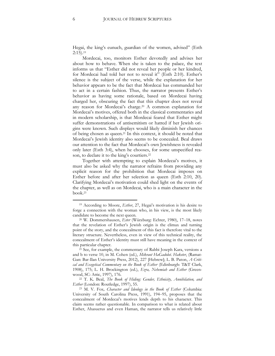Hegai, the king's eunuch, guardian of the women, advised" (Esth 2:15). 19

Mordecai, too, monitors Esther devotedly and advises her about how to behave. When she is taken to the palace, the text informs us that "Esther did not reveal her people or her kindred, for Mordecai had told her not to reveal it" (Esth 2:10). Esther's silence is the subject of the verse, while the explanation for her behavior appears to be the fact that Mordecai has commanded her to act in a certain fashion. Thus, the narrator presents Esther's behavior as having some rationale, based on Mordecai having charged her, obscuring the fact that this chapter does not reveal any reason for Mordecai's charge. <sup>20</sup> A common explanation for Mordecai's motives, offered both in the classical commentaries and in modern scholarship, is that Mordecai feared that Esther might suffer demonstrations of antisemitism or hatred if her Jewish origins were known. Such displays would likely diminish her chances of being chosen as queen.<sup>21</sup> In this context, it should be noted that Mordecai's Jewish identity also seems to be concealed. Beal draws our attention to the fact that Mordecai's own Jewishness is revealed only later (Esth 3:4), when he chooses, for some unspecified reason, to declare it to the king's courtiers.<sup>22</sup>

Together with attempting to explain Mordecai's motives, it must also be asked why the narrator refrains from providing any explicit reason for the prohibition that Mordecai imposes on Esther before and after her selection as queen (Esth 2:10, 20). Clarifying Mordecai's motivation could shed light on the events of the chapter, as well as on Mordecai, who is a main character in the book.<sup>23</sup>

<sup>&</sup>lt;sup>19</sup> According to Moore, *Esther*, 27, Hegai's motivation is his desire to forge a connection with the woman who, in his view, is the most likely candidate to become the next queen.

<sup>20</sup> W. Dommershausen, *Ester* (Würzburg: Echter, 1980), 17–18, notes that the revelation of Esther's Jewish origin is the climax and turning point of the story, and the concealment of this fact is therefore vital to the literary structure. Nevertheless, even in view of this technical reality, the concealment of Esther's identity must still have meaning in the context of this particular chapter.

<sup>&</sup>lt;sup>21</sup> See, for example, the commentary of Rabbi Joseph Kara, versions a and b to verse 10, in M. Cohen (ed.), *Mikraot HaGadolot*. *Haketer*, (Ramat-Gan: Bar-Ilan University Press, 2012), 227 [Hebrew]; L. B. Paton, *A Critical and Exegetical Commentary on the Book of Esther* (Edinburgh: T&T Clark, 1908), 175; L. H. Brockington (ed.), *Ezra, Nehemiah and Esther* (Greenwood, SC: Attic, 1997), 176.

<sup>22</sup> T. K. Beal, *The Book of Hiding: Gender, Ethnicity, Annihilation, and Esther* (London: Routledge, 1997), 55.

<sup>23</sup> M. V*.* Fox*, Character and Ideology in the Book of Esther* (Columbia: University of South Carolina Press, 1991), 194–95, proposes that the concealment of Mordecai's motives lends depth to his character. This claim seems rather questionable. In comparison to what is related about Esther, Ahasuerus and even Haman, the narrator tells us relatively little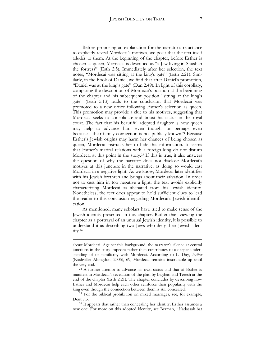Before proposing an explanation for the narrator's reluctance to explicitly reveal Mordecai's motives, we posit that the text itself alludes to them. At the beginning of the chapter, before Esther is chosen as queen, Mordecai is described as "a Jew living in Shushan the fortress" (Esth 2:5). Immediately after her selection, the text notes, "Mordecai was sitting at the king's gate" (Esth 2:21). Similarly, in the Book of Daniel, we find that after Daniel's promotion, "Daniel was at the king's gate" (Dan 2:49). In light of this corollary, comparing the description of Mordecai's position at the beginning of the chapter and his subsequent position "sitting at the king's gate" (Esth 5:13) leads to the conclusion that Mordecai was promoted to a new office following Esther's selection as queen. This promotion may provide a clue to his motives, suggesting that Mordecai seeks to consolidate and boost his status in the royal court. The fact that his beautiful adopted daughter is now queen may help to advance him, even though—or perhaps even because—their family connection is not publicly known.<sup>24</sup> Because Esther's Jewish origins may harm her chances of being chosen as queen, Mordecai instructs her to hide this information. It seems that Esther's marital relations with a foreign king do not disturb Mordecai at this point in the story.<sup>25</sup> If this is true, it also answers the question of why the narrator does not disclose Mordecai's motives at this juncture in the narrative, as doing so would cast Mordecai in a negative light. As we know, Mordecai later identifies with his Jewish brethren and brings about their salvation. In order not to cast him in too negative a light, the text avoids explicitly characterizing Mordecai as alienated from his Jewish identity. Nonetheless, the text does appear to hold sufficient clues to lead the reader to this conclusion regarding Mordecai's Jewish identification.

As mentioned, many scholars have tried to make sense of the Jewish identity presented in this chapter. Rather than viewing the chapter as a portrayal of an unusual Jewish identity, it is possible to understand it as describing two Jews who deny their Jewish identity.<sup>26</sup>

about Mordecai. Against this background, the narrator's silence at central junctions in the story impedes rather than contributes to a deeper understanding of or familiarity with Mordecai. According to L. Day, *Esther* (Nashville: Abingdon, 2005), 69, Mordecai remains inscrutable up until the very end.

<sup>&</sup>lt;sup>24</sup> A further attempt to advance his own status and that of Esther is manifest in Mordecai's revelation of the plan by Bigthan and Teresh at the end of the chapter (Esth 2:21). The chapter concludes by describing how Esther and Mordecai help each other reinforce their popularity with the king even though the connection between them is still concealed.

<sup>25</sup> For the biblical prohibition on mixed marriages, see, for example, Deut 7:3.

<sup>&</sup>lt;sup>26</sup> It appears that rather than concealing her identity, Esther assumes a new one. For more on this adopted identity, see Berman, "Hadassah bat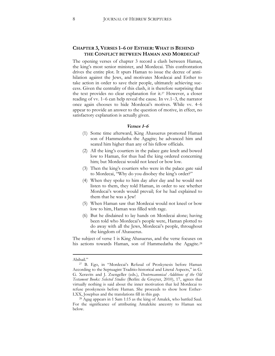#### **CHAPTER 3, VERSES 1–6 OF ESTHER: WHAT IS BEHIND THE CONFLICT BETWEEN HAMAN AND MORDECAI?**

The opening verses of chapter 3 record a clash between Haman, the king's most senior minister, and Mordecai. This confrontation drives the entire plot. It spurs Haman to issue the decree of annihilation against the Jews, and motivates Mordecai and Esther to take action in order to save their people, ultimately achieving success. Given the centrality of this clash, it is therefore surprising that the text provides no clear explanation for it.<sup>27</sup> However, a closer reading of vv. 1–6 can help reveal the cause. In vv.1–3, the narrator once again chooses to hide Mordecai's motives. While vv. 4–6 appear to provide an answer to the question of motive, in effect, no satisfactory explanation is actually given.

#### <span id="page-8-0"></span>**Verses 1***–***<sup>6</sup>**

- (1) Some time afterward, King Ahasuerus promoted Haman son of Hammedatha the Agagite; he advanced him and seated him higher than any of his fellow officials.
- (2) All the king's courtiers in the palace gate knelt and bowed low to Haman, for thus had the king ordered concerning him; but Mordecai would not kneel or bow low.
- (3) Then the king's courtiers who were in the palace gate said to Mordecai, "Why do you disobey the king's order?"
- (4) When they spoke to him day after day and he would not listen to them, they told Haman, in order to see whether Mordecai's words would prevail; for he had explained to them that he was a Jew!
- (5) When Haman saw that Mordecai would not kneel or bow low to him, Haman was filled with rage.
- (6) But he disdained to lay hands on Mordecai alone; having been told who Mordecai's people were, Haman plotted to do away with all the Jews, Mordecai's people, throughout the kingdom of Ahasuerus.

The subject of verse 1 is King Ahasuerus, and the verse focuses on his actions towards Haman, son of Hammedatha the Agagite.<sup>28</sup>

Abihail."

<sup>27</sup> B. Ego, in "Mordecai's Refusal of Proskynesis before Haman According to the Septuagint Traditio-historical and Literal Aspects," in G. G. Xeravits and J. Zsengeller (eds.), *Deuterocanonical Additions of the Old Testament Books: Selected Studies* (Berlin: de Gruyter, 2010), 17, agrees that virtually nothing is said about the inner motivation that led Mordecai to refuse proskynesis before Haman. She proceeds to show how Esther-LXX, Josephus and the translations fill in this gap.

<sup>28</sup> Agag appears in 1 Sam 1:15 as the king of Amalek, who battled Saul. For the significance of attributing Amalekite ancestry to Haman see below.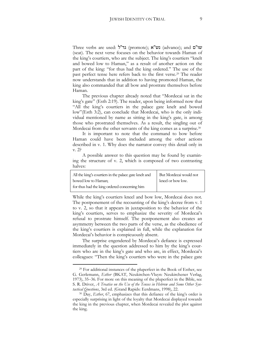Three verbs are used: גד"ל (promote); גד"ע (advance); and עו"ם (seat). The next verse focuses on the behavior towards Haman of the king's courtiers, who are the subject. The king's courtiers "knelt and bowed low to Haman," as a result of another action on the part of the king: "for thus had the king ordered." The use of the past perfect tense here refers back to the first verse.<sup>29</sup> The reader now understands that in addition to having promoted Haman, the king also commanded that all bow and prostrate themselves before Haman.

<span id="page-9-0"></span>The previous chapter already noted that "Mordecai sat in the king's gate" (Esth 2:19). The reader, upon being informed now that "All the king's courtiers in the palace gate knelt and bowed low"(Esth 3:2), can conclude that Mordecai, who is the only individual mentioned by name as sitting in the king's gate, is among those who prostrated themselves. As a result, the singling out of Mordecai from the other servants of the king comes as a surprise.<sup>30</sup>

It is important to note that the command to bow before Haman could have been included among the other actions described in v. 1. Why does the narrator convey this detail only in v. 2?

A possible answer to this question may be found by examining the structure of v. 2, which is composed of two contrasting halves:

| All the king's courtiers in the palace gate knelt and | But Mordecai would not |
|-------------------------------------------------------|------------------------|
| bowed low to Haman;                                   | kneel or bow low.      |
| for thus had the king ordered concerning him          |                        |

While the king's courtiers kneel and bow low, Mordecai does not. The postponement of the recounting of the king's decree from v. 1 to v. 2, so that it appears in juxtaposition to the behavior of the king's courtiers, serves to emphasize the severity of Mordecai's refusal to prostrate himself. The postponement also creates an asymmetry between the two parts of the verse, as the obedience of the king's courtiers is explained in full, while the explanation for Mordecai's behavior is conspicuously absent.

The surprise engendered by Mordecai's defiance is expressed immediately in the question addressed to him by the king's courtiers who are in the king's gate and who are, in effect, Mordecai's colleagues: "Then the king's courtiers who were in the palace gate

<sup>29</sup> For additional instances of the pluperfect in the Book of Esther, see G. Gerlemann, *Esther* (BKAT, Neukirchen-Vluyn: Neukirchener Verlag, 1973), 35–36. For more on this meaning of the pluperfect in the Bible, see S. R. Driver, *A Treatise on the Use of the Tenses in Hebrew and Some Other Syntactical Questions*, 3rd ed. (Grand Rapids: Eerdmans, 1998), 22.

<sup>30</sup> Day, *Esther*, 67, emphasizes that this defiance of the king's order is especially surprising in light of the loyalty that Mordecai displayed towards the king in the previous chapter, when Mordecai revealed the plot against the king.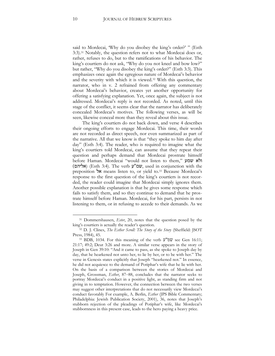said to Mordecai, 'Why do you disobey the king's order?' " (Esth 3:3).<sup>31</sup> Notably, the question refers not to what Mordecai does or, rather, refuses to do, but to the ramifications of his behavior. The king's courtiers do not ask, "Why do you not kneel and bow low?" but rather, "Why do you disobey the king's order?" (Esth 3:3). This emphasizes once again the egregious nature of Mordecai's behavior and the severity with which it is viewed.<sup>32</sup> With this question, the narrator, who in v. 2 refrained from offering any commentary about Mordecai's behavior, creates yet another opportunity for offering a satisfying explanation. Yet, once again, the subject is not addressed. Mordecai's reply is not recorded. As noted, until this stage of the conflict, it seems clear that the narrator has deliberately concealed Mordecai's motives. The following verses, as will be seen, likewise conceal more than they reveal about this issue.

The king's courtiers do not back down, and verse 4 describes their ongoing efforts to engage Mordecai. This time, their words are not recorded as direct speech, nor even summarized as part of the narrative. All that we know is that "they spoke to him day after day" (Esth 3:4). The reader, who is required to imagine what the king's courtiers told Mordecai, can assume that they repeat their question and perhaps demand that Mordecai prostrate himself before Haman. Mordecai "would not listen to them," שמע ולא )אליהם) (Esth 3:4). The verb ע"שמ, used in conjunction with the preposition אל means listen to, or yield to.<sup>33</sup> Because Mordecai's response to the first question of the king's courtiers is not recorded, the reader could imagine that Mordecai simply ignores them. Another possible explanation is that he gives some response which fails to satisfy them, and so they continue to demand that he prostrate himself before Haman. Mordecai, for his part, persists in not listening to them, or in refusing to accede to their demands. As we

<sup>31</sup> Dommershausen, *Ester*, 20, notes that the question posed by the king's courtiers is actually the reader's question.

<sup>32</sup> D. J. Clines, *The Esther Scroll: The Story of the Story* (Sheffield: JSOT Press, 1984), 45.

<sup>&</sup>lt;sup>33</sup> BDB, 1034. For this meaning of the verb  $\mathcal{V}^{\prime\prime}\mathcal{W}$  see Gen 16:11; 21:17; 49:2; Deut 3:26 and more. A similar verse appears in the story of Joseph in Gen 39:10: "And it came to pass, as she spoke to Joseph day by day, that he hearkened not unto her, to lie by her, or to be with her." The verse in Genesis states explicitly that Joseph "hearkened not." In essence, he did not acquiesce to the demand of Potiphar's wife that he lie with her. On the basis of a comparison between the stories of Mordecai and Joseph, Grossman, *Esther*, 87–88, concludes that the narrator seeks to portray Mordecai's conduct in a positive light, as standing firm and not giving in to temptation. However, the connection between the two verses may suggest other interpretations that do not necessarily view Mordecai's conduct favorably For example, A. Berlin, *Esther* (JPS Bible Commentary; Philadelphia: Jewish Publication Society, 2001), 36, notes that Joseph's stubborn rejection of the pleadings of Potiphar's wife, like Mordecai's stubbornness in this present case, leads to the hero paying a heavy price.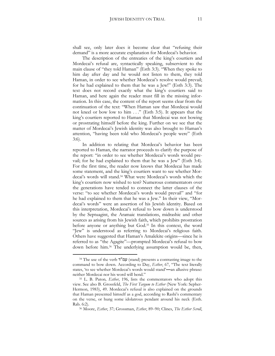shall see, only later does it become clear that "refusing their demand" is a more accurate explanation for Mordecai's behavior.

The description of the entreaties of the king's courtiers and Mordecai's refusal are, syntactically speaking, subservient to the main clause of "they told Haman" (Esth 3:3). "When they spoke to him day after day and he would not listen to them, they told Haman, in order to see whether Mordecai's resolve would prevail; for he had explained to them that he was a Jew!" (Esth 3:3). The text does not record exactly what the king's courtiers said to Haman, and here again the reader must fill in the missing information. In this case, the content of the report seems clear from the continuation of the text: "When Haman saw that Mordecai would not kneel or bow low to him . . ." (Esth 3:5). It appears that the king's courtiers reported to Haman that Mordecai was not bowing or prostrating himself before the king. Further on we see that the matter of Mordecai's Jewish identity was also brought to Haman's attention, "having been told who Mordecai's people were" (Esth 3:6).

In addition to relating that Mordecai's behavior has been reported to Haman, the narrator proceeds to clarify the purpose of the report: "in order to see whether Mordecai's words would prevail; for he had explained to them that he was a Jew" (Esth 3:4). For the first time, the reader now knows that Mordecai has made some statement, and the king's courtiers want to see whether Mordecai's words will stand.<sup>34</sup> What were Mordecai's words which the king's courtiers now wished to test? Numerous commentators over the generations have tended to connect the latter clauses of the verse: "to see whether Mordecai's words would prevail" and "for he had explained to them that he was a Jew." In their view, "Mordecai's words" were an assertion of his Jewish identity. Based on this interpretation, Mordecai's refusal to bow down is understood by the Septuagint, the Aramaic translations, midrashic and other sources as arising from his Jewish faith, which prohibits prostration before anyone or anything but God.<sup>35</sup> In this context, the word "Jew" is understood as referring to Mordecai's religious faith. Others have suggested that Haman's Amalekite origins—since he is referred to as "the Agagite"—prompted Mordecai's refusal to bow down before him. <sup>36</sup> The underlying assumption would be, then,

1

<sup>36</sup> Moore, *Esther*, 37; Grossman, *Esther*, 89–90; Clines, *The Esther Scroll*,

<sup>&</sup>lt;sup>34</sup> The use of the verb **עמ"ד (**stand) presents a contrasting image to the command to bow down. According to Day, *Esther*, 67, "The text literally states, 'to see whether Mordecai's words would stand'**—**an allusive phrase: neither Mordecai nor his word will bend."

<sup>35</sup> L. B. Paton*, Esther*, 196, lists the commentators who adopt this view. See also B. Grossfeld, *The First Targum to Esther* (New York: Sepher-Hermon, 1983), 49. Mordecai's refusal is also explained on the grounds that Haman presented himself as a god, according to Rashi's commentary on the verse, or hung some idolatrous pendant around his neck (Esth. Rab. 6:2).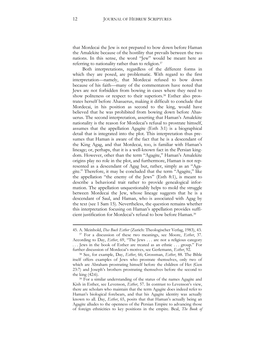that Mordecai the Jew is not prepared to bow down before Haman the Amalekite because of the hostility that prevails between the two nations. In this sense, the word "Jew" would be meant here as referring to nationality rather than to religion.<sup>37</sup>

Both interpretations, regardless of the different forms in which they are posed, are problematic. With regard to the first interpretation—namely, that Mordecai refused to bow down because of his faith—many of the commentators have noted that Jews are not forbidden from bowing in cases where they need to show politeness or respect to their superiors.<sup>38</sup> Esther also prostrates herself before Ahasuerus, making it difficult to conclude that Mordecai, in his position as second to the king, would have believed that he was prohibited from bowing down before Ahasuerus. The second interpretation, asserting that Haman's Amalekite nationality is the reason for Mordecai's refusal to prostrate himself, assumes that the appellation Agagite (Esth 3:1) is a biographical detail that is integrated into the plot. This interpretation thus presumes that Haman is aware of the fact that he is a descendant of the King Agag, and that Mordecai, too, is familiar with Haman's lineage; or, perhaps, that it is a well-known fact in the Persian kingdom. However, other than the term "Agagite," Haman's Amalekite origins play no role in the plot, and furthermore, Haman is not represented as a descendant of Agag but, rather, simply as an "Agagite." Therefore, it may be concluded that the term "Agagite," like the appellation "the enemy of the Jews" (Esth 8:1), is meant to describe a behavioral trait rather to provide genealogical information. The appellation unquestionably helps to mold the struggle between Mordecai the Jew, whose lineage suggests that he is a descendant of Saul, and Haman, who is associated with Agag by the text (see 1 Sam 15). Nevertheless, the question remains whether this interpretation focusing on Haman's appellation provides sufficient justification for Mordecai's refusal to bow before Haman.<sup>39</sup>

<sup>45.</sup> A. Meinhold, *Das Buch Esther* (Zurich: Theologischer Verlag, 1983), 43. <sup>37</sup> For a discussion of these two meanings, see Moore, *Esther*, 37.

According to Day, *Esther*, 69, "The Jews . . . are not a religious category . . . Jews in the book of Esther are treated as an ethnic . . . group." For further discussion of Mordecai's motives, see Gerlemann, *Esther*, 92.

<sup>38</sup> See, for example, Day, *Esther*, 66; Grossman, *Esther*, 88. The Bible itself offers examples of Jews who prostrate themselves, only two of which are Abraham prostrating himself before the children of Het (Gen 23:7) and Joseph's brothers prostrating themselves before the second to the king (42:6).

<sup>&</sup>lt;sup>39</sup> For a similar understanding of the status of the names Agagite and Kish in Esther, see Levenson, *Esther*, 57. In contrast to Levenson's view, there are scholars who maintain that the term Agagite does indeed refer to Haman's biological forebears, and that his Agagite identity was actually known to all. Day, *Esther*, 65, posits that that Haman's actually being an Agagite alludes to the openness of the Persian Empire to advancing those of foreign ethnicities to key positions in the empire. Beal, *The Book of*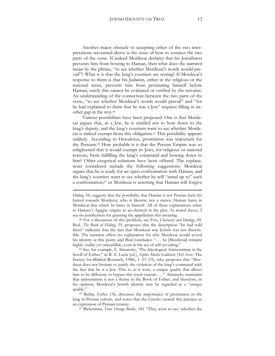Another major obstacle to accepting either of the two interpretations recounted above is the issue of how to connect the two parts of the verse. If indeed Mordecai declares that his Jewishness prevents him from bowing to Haman, then what does the narrator mean by the phrase, "to see whether Mordecai's words would prevail"? What is it that the king's courtiers are testing? If Mordecai's response to them is that his Judaism, either in the religious or the national sense, prevents him from prostrating himself before Haman, surely this cannot be evaluated or verified by the servants. An understanding of the connection between the two parts of the verse, "to see whether Mordecai's words would prevail" and "for he had explained to them that he was a Jew" requires filling in another gap in the text.<sup>40</sup>

Various possibilities have been proposed. One is that Mordecai argues that, as a Jew, he is entitled not to bow down to the king's deputy, and the king's courtiers want to see whether Mordecai is indeed exempt from this obligation.<sup>41</sup> This possibility appears unlikely. According to Herodotus, prostration was important for the Persians.<sup>42</sup> How probable is it that the Persian Empire was so enlightened that it would exempt its Jews, for religious or national reasons, from fulfilling the king's command and bowing down to him? Other exegetical solutions have been offered. The explanations considered include the following suggestions: Mordecai argues that he is ready for an open confrontation with Haman, and the king's courtiers want to see whether he will "stand up to" such a confrontation;<sup>43</sup> or Mordecai is asserting that Haman will forgive

1

<sup>40</sup> For a discussion of this problem, see Fox, *Character and Ideology*, 45. Beal, *The Book of Hiding*, 55, proposes that the description "he had told them" indicates that the fact that Mordecai was Jewish was not discernible. The narrator offers no explanation for why Mordecai would reveal his identity at this point, and Beal concludes: "... he [Mordecai] remains highly visible yet unreadable, even in the act of self-revealing."

<sup>41</sup> See, for example, S. Abramsky, "Pre-Ideological Antisemitism in the Scroll of Esther," in B. Z. Luria (ed.), *Sepher Moshe Goldstein* (Tel Aviv: The Society for Biblical Research, 1988), 1–23 (19), who proposes that "Mordecai does not hesitate to justify the violation of the king's command with the fact that he is a Jew. This is, as it were, a unique quality that allows him to be different, to bypass this royal custom . . ." Abramsky maintains that antisemitism is not a theme in the Book of Esther, and therefore, in his opinion, Mordecai's Jewish identity may be regarded as a "unique quality."

<sup>42</sup> Berlin, *Esther*, 136, discusses the importance of prostration to the king in Persian culture, and notes that the Greeks viewed this practice as an expression of Persian tyranny.

<sup>43</sup> Bickerman, *Four Strange Books*, 181 "They went to see 'whether the

*Hiding*, 58, suggests that the possibility that Haman is not Persian fuels his hatred towards Mordecai, who is likewise not a native; Haman hates in Mordecai that which he hates in himself. All of these explanations relate to Haman's Agagite origins as an element in the plot. As noted above, I see no justification for granting the appellation this meaning.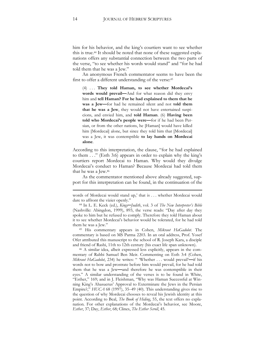him for his behavior, and the king's courtiers want to see whether this is true.<sup>44</sup> It should be noted that none of these suggested explanations offers any substantial connection between the two parts of the verse, "to see whether his words would stand" and "for he had told them that he was a Jew."

An anonymous French commentator seems to have been the first to offer a different understanding of the verse:<sup>45</sup>

(4) . . . **They told Haman, to see whether Mordecai's words would prevail—**And for what reason did they envy him and **tell Haman? For he had explained to them that he was a Jew—**for had he remained silent and not **told them that he was a Jew**, they would not have entertained suspicions, and envied him, and **told Haman**. (6) **Having been told who Mordecai's people were—**for if he had been Persian, or from the other nations, he [Haman] would have killed him [Mordecai] alone, but since they told him that [Mordecai] was a Jew, it was contemptible **to lay hands on Mordecai alone**.

According to this interpretation, the clause, "for he had explained to them . . ." (Esth 3:6) appears in order to explain why the king's courtiers report Mordecai to Haman. Why would they divulge Mordecai's conduct to Haman? Because Mordecai had told them that he was a Jew.<sup>46</sup>

As the commentator mentioned above already suggested, support for this interpretation can be found, in the continuation of the

<sup>45</sup> His commentary appears in Cohen, *Mikraot HaGadolot*. The commentary is based on MS Parma 2203. In an oral address, Prof. Yosef Ofer attributed this manuscript to the school of R. Joseph Kara, a disciple and friend of Rashi, 11th to 12th century (his exact life span unknown).

<sup>46</sup> A similar idea, albeit expressed less explicitly, appears in the commentary of Rabbi Samuel Ben Meir. Commenting on Esth 3:4 (Cohen, *Mikraot HaGadolot*, 234) he writes: " 'Whether . . . would prevail'**—**if his words not to bow and prostrate before him would prevail, for he had told them that he was a Jew**—**and therefore he was contemptible in their eyes." A similar understanding of the verses is to be found in White, "Esther," 169; and in J. Fleishman, "Why was Haman Successful at Winning King's Ahasuerus' Approval to Exterminate the Jews in the Persian Empire?," *HUCA* 68 (1997), 35–49 (40). This understanding gives rise to the question of why Mordecai chooses to reveal his Jewish identity at this point. According to Beal, *The Book of Hiding*, 55, the text offers no explanation. For other explanations of the Mordecai's behavior, see Moore, *Esther*, 37; Day, *Esther*, 68; Clines, *The Esther Scroll*, 45.

words of Mordecai would stand up,' that is . . . whether Mordecai would dare to affront the vizier openly."

<sup>44</sup> In L. E. Keck (ed.), *Kings─Judith*, vol. 3 of *The New Interpreter's Bible* (Nashville: Abingdon, 1999), 893, the verse reads: "Day after day they spoke to him but he refused to comply. Therefore they told Haman about it to see whether Mordecai's behavior would be tolerated, for he had told them he was a Jew."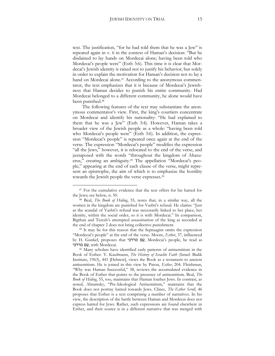text. The justification, "for he had told them that he was a Jew" is repeated again in v. 6 in the context of Haman's decision: "But he disdained to lay hands on Mordecai alone; having been told who Mordecai's people were" (Esth 3:6). This time it is clear that Mordecai's Jewish identity is raised not to justify his behavior, but solely in order to explain the motivation for Haman's decision not to lay a hand on Mordecai alone.<sup>47</sup> According to the anonymous commentator, the text emphasizes that it is because of Mordecai's Jewishness that Haman decides to punish his entire community. Had Mordecai belonged to a different community, he alone would have been punished.<sup>48</sup>

The following features of the text may substantiate the anonymous commentator's view. First, the king's courtiers concentrate on Mordecai and identify his nationality: "He had explained to them that he was a Jew" (Esth 3:4). However, Haman takes a broader view of the Jewish people as a whole: "having been told who Mordecai's people were" (Esth 3:6). In addition, the expression "Mordecai's people" is repeated once again at the end of the verse. The expression "Mordecai's people" modifies the expression "all the Jews," however, it is relocated to the end of the verse, and juxtaposed with the words "throughout the kingdom of Ahasuerus," creating an ambiguity.<sup>49</sup> The appellation "Mordecai's people," appearing at the end of each clause of the verse, might represent an epistrophe, the aim of which is to emphasize the hostility towards the Jewish people the verse expresses.<sup>50</sup>

<span id="page-15-0"></span>1

<sup>49</sup> It may be for this reason that the Septuagint omits the expression "Mordecai's people" at the end of the verse. Moore, *Esther*, 37, influenced by H. Gunkel, proposes that מרדכי ם ַע, Mordecai's people, be read as עם מרדכי, with Mordecai.

<sup>47</sup> For the cumulative evidence that the text offers for his hatred for the Jews; see below, n. [50.](#page-15-0)

<sup>48</sup> Beal, *The Book of Hiding*, 55, notes that, in a similar way, all the women in the kingdom are punished for Vashti's refusal. He claims: "Just as the scandal of Vashti's refusal was necessarily linked to her place, her identity, within the social order, so it is with Mordecai." In comparison, Bigthan and Teresh's attempted assassination of the king as recorded at the end of chapter 2 does not bring collective punishment.

<sup>50</sup> Many scholars have identified early patterns of antisemitism in the Book of Esther. Y. Kaufmann, *The History of Israelite Faith* (Israel: Bialik Institute, 1963), 441 [Hebrew], views the Book as a testament to ancient antisemitism. He is joined in this view by Paton, *Esther*, 204. Fleishman, "Why was Haman Successful," 38, reviews the accumulated evidence in the Book of Esther that points to the presence of antisemitism. Beal, *The Book of Hiding*, 55, too, maintains that Haman loathes Jews. In contrast, as noted, Abramsky, "Pre-Ideological Antisemitism," maintains that the Book does not portray hatred towards Jews. Clines, *The Esther Scroll*, 46 proposes that Esther is a text comprising a number of narratives. In his view, the description of the battle between Haman and Mordecai does not express hatred for Jews. Rather, such expressions are found elsewhere in Esther, and their source is in a different narrative that was merged with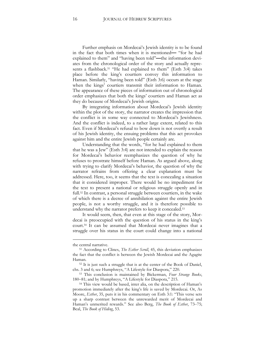Further emphasis on Mordecai's Jewish identity is to be found in the fact that both times when it is mentioned**—** "for he had explained to them" and "having been told"**—**the information deviates from the chronological order of the story and actually represents a flashback.<sup>51</sup> "He had explained to them" (Esth 3:4) takes place before the king's courtiers convey this information to Haman. Similarly, "having been told" (Esth 3:6) occurs at the stage when the kings' courtiers transmit their information to Haman. The appearance of these pieces of information out of chronological order emphasizes that both the kings' courtiers and Haman act as they do because of Mordecai's Jewish origins.

By integrating information about Mordecai's Jewish identity within the plot of the story, the narrator creates the impression that the conflict is in some way connected to Mordecai's Jewishness. And the conflict is indeed, to a rather large extent, related to this fact. Even if Mordecai's refusal to bow down is not overtly a result of his Jewish identity, the ensuing problems that this act provokes against him and the entire Jewish people certainly are.

Understanding that the words, "for he had explained to them that he was a Jew" (Esth 3:4) are not intended to explain the reason for Mordecai's behavior reemphasizes the question of why he refuses to prostrate himself before Haman. As argued above, along with trying to clarify Mordecai's behavior, the question of why the narrator refrains from offering a clear explanation must be addressed. Here, too, it seems that the text is concealing a situation that it considered improper. There would be no impediment for the text to present a national or religious struggle openly and in full. <sup>52</sup> In contrast, a personal struggle between courtiers, in the wake of which there is a decree of annihilation against the entire Jewish people, is not a worthy struggle, and it is therefore possible to understand why the narrator prefers to keep it concealed.<sup>53</sup>

It would seem, then, that even at this stage of the story, Mordecai is preoccupied with the question of his status in the king's court.<sup>54</sup> It can be assumed that Mordecai never imagines that a struggle over his status in the court could change into a national

the central narrative.

<sup>51</sup> According to Clines, *The Esther Scroll*, 45, this deviation emphasizes the fact that the conflict is between the Jewish Mordecai and the Agagite Haman.

<sup>52</sup> It is just such a struggle that is at the center of the Book of Daniel, chs. 3 and 6; see Humphreys, "A Lifestyle for Diaspora," 220.

<sup>53</sup> This conclusion is maintained by Bickerman, *Four Strange Books*, 180–81; and by Humphreys, "A Lifestyle for Diaspora," 215.

<sup>54</sup> This view would be based, inter alia, on the description of Haman's promotion immediately after the king's life is saved by Mordecai. Or, As Moore, *Esther*, 35, puts it in his commentary on Esth 3:1: "This verse sets up a sharp contrast between the unrewarded merit of Mordecai and Haman's unmerited rewards." See also Berg, *The Book of Esther*, 73–75; Beal, *The Book of Hiding*, 53.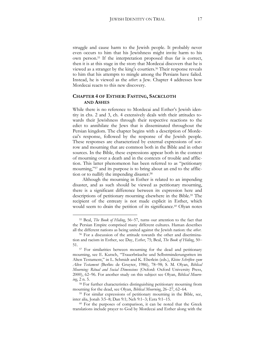struggle and cause harm to the Jewish people. It probably never even occurs to him that his Jewishness might invite harm to his own person.<sup>55</sup> If the interpretation proposed thus far is correct, then it is at this stage in the story that Mordecai discovers that he is viewed as a stranger by the king's courtiers.<sup>56</sup> Their response reveals to him that his attempts to mingle among the Persians have failed. Instead, he is viewed as the *other*: a Jew. Chapter 4 addresses how Mordecai reacts to this new discovery.

#### **CHAPTER 4 OF ESTHER: FASTING, SACKCLOTH AND ASHES**

While there is no reference to Mordecai and Esther's Jewish identity in chs. 2 and 3, ch. 4 extensively deals with their attitudes towards their Jewishness through their respective reactions to the edict to annihilate the Jews that is disseminated throughout the Persian kingdom. The chapter begins with a description of Mordecai's response, followed by the response of the Jewish people. These responses are characterized by external expressions of sorrow and mourning that are common both in the Bible and in other sources. In the Bible, these expressions appear both in the context of mourning over a death and in the contexts of trouble and affliction. This latter phenomenon has been referred to as "petitionary mourning,"<sup>57</sup> and its purpose is to bring about an end to the affliction or to nullify the impending disaster. 58

<span id="page-17-0"></span>Although the mourning in Esther is related to an impending disaster, and as such should be viewed as petitionary mourning, there is a significant difference between its expression here and descriptions of petitionary mourning elsewhere in the Bible.<sup>59</sup> The recipient of the entreaty is not made explicit in Esther, which would seem to drain the petition of its significance.<sup>60</sup> Olyan notes

<sup>55</sup> Beal, *The Book of Hiding*, 56–57, turns our attention to the fact that the Persian Empire comprised many different cultures. Haman describes all the different nations as being united against the Jewish nation: the *other*.

<sup>56</sup> For a discussion of the attitude towards the other and discrimination and racism in Esther, see Day, *Esther*, 75; Beal, *The Book of Hiding*, 50– 51.

<sup>57</sup> For similarities between mourning for the dead and petitionary mourning, see E. Kutsch, "Trauerbräuche und Selbstminderungsriten im Alten Testament," in L. Schmidt and K. Eberlein (eds.), *Kleine Schriften zum Alten Testament* (Berlin: de Gruyter, 1986), 78–98; S. M. Olyan, *Biblical Mourning: Ritual and Social Dimensions* (Oxford: Oxford University Press, 2000), 62–96. For another study on this subject see Olyan, *Biblical Mourning*, 2 n. 5.

<sup>58</sup> For further characteristics distinguishing petitionary mourning from mourning for the dead, see Olyan, *Biblical Mourning*, 26–27, 62–64.

<sup>59</sup> For similar expressions of petitionary mourning in the Bible, see, inter alia, Jonah 3:5–8; Dan 9:1; Neh 9:1–3; Ezra 9:1–15.

<sup>60</sup> For the purposes of comparison, it can be noted that the Greek translations include prayer to God by Mordecai and Esther along with the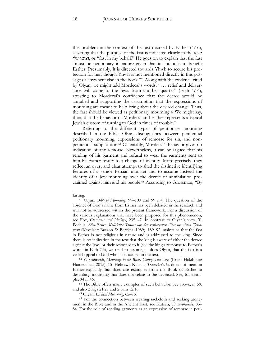this problem in the context of the fast decreed by Esther (4:16), asserting that the purpose of the fast is indicated clearly in the text: עלי וצומו, or "fast in my behalf." He goes on to explain that the fast "must be petitionary in nature given that its intent is to benefit Esther. Presumably, it is directed towards Yhwh to secure his protection for her, though Yhwh is not mentioned directly in this passage or anywhere else in the book." <sup>61</sup> Along with the evidence cited by Olyan, we might add Mordecai's words, ". . . relief and deliverance will come to the Jews from another quarter" (Esth 4:14), attesting to Mordecai's confidence that the decree would be annulled and supporting the assumption that the expressions of mourning are meant to help bring about the desired change. Thus, the fast should be viewed as petitionary mourning.<sup>62</sup> We might say, then, that the behavior of Mordecai and Esther represents a typical Jewish custom of turning to God in times of trouble.<sup>63</sup>

Referring to the different types of petitionary mourning described in the Bible, Olyan distinguishes between penitential petitionary mourning, expressions of remorse for sin, and nonpenitential supplication.<sup>64</sup> Ostensibly, Mordecai's behavior gives no indication of any remorse. Nevertheless, it can be argued that his rending of his garment and refusal to wear the garments sent to him by Esther testify to a change of identity. More precisely, they reflect an overt and clear attempt to shed the distinctive identifying features of a senior Persian minister and to assume instead the identity of a Jew mourning over the decree of annihilation proclaimed against him and his people.<sup>65</sup> According to Grossman, "By

fasting.

<sup>61</sup> Olyan, *Biblical Mourning,* 99–100 and 99 n.4. The question of the absence of God's name from Esther has been debated in the research and will not be addressed within the present framework. For a discussion of the various explanations that have been proposed for this phenomenon, see Fox, *Character and Ideology*, 235–47. In contrast to Olyan's view, T. Podella, *Şôm-Fasten: Kollektive Trauer um den verborgenen Gott im Alten Testament* (Kevelaer: Butzon & Bercker, 1989), 189–92, maintains that the fast in Esther is not religious in nature and is addressed to the king. Since there is no indication in the text that the king is aware of either the decree against the Jews or their response to it (see the king's response to Esther's words in Esth 7:5), we tend to assume, as does Olyan, that the fast is a veiled appeal to God who is concealed in the text.

<sup>62</sup> Y. Shemesh, *Mourning in the Bible: Coping with Loss* (Israel: Hakibbutz Hameuchad, 2015), 15 [Hebrew]. Kutsch, *Trauerbräuche,* does not mention Esther explicitly, but does cite examples from the Book of Esther in describing mourning that does not relate to the deceased. See, for example, 94 n. 46.

<sup>&</sup>lt;sup>63</sup> The Bible offers many examples of such behavior. See above, n. [59;](#page-17-0) and also 2 Kgs 21:27 and 2 Sam 12:16.

<sup>64</sup> Olyan, *Biblical Mourning*, 62–75.

<sup>65</sup> For the connection between wearing sackcloth and seeking atonement in the Bible and in the Ancient East, see Kutsch, *Trauerbräuche*, 83– 84. For the role of rending garments as an expression of remorse in peti-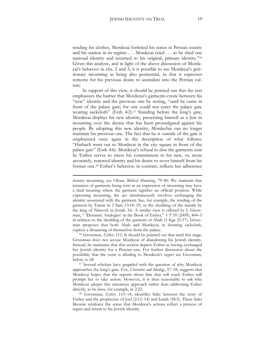rending his clothes, Mordecai forfeited his status in Persian society and his station in its regime . . . Mordecai cried . . . as he shed one national identity and returned to his original, primary identity."<sup>66</sup> Given this analysis, and in light of the above discussion of Mordecai's behavior in chs. 2 and 3, it is possible to see Mordecai's petitionary mourning as being also penitential, in that it expresses remorse for his previous desire to assimilate into the Persian culture.

In support of this view, it should be pointed out that the text emphasizes the barrier that Mordecai's garments create between his "new" identity and the previous one by noting, "until he came in front of the palace gate; for one could not enter the palace gate wearing sackcloth" (Esth 4:2).<sup>67</sup> Standing before the king's gate, Mordecai displays his new identity, presenting himself as a Jew in mourning over the decree that has been promulgated against his people. By adopting this new identity, Mordechai can no longer maintain his previous one. The fact that he is outside of the gate is emphasized once again in the description of what follows: "Hathach went out to Mordecai in the city square in front of the palace gate" (Esth 4:6). Mordecai's refusal to don the garments sent by Esther serves to stress his commitment to his new, or, more accurately, renewed identity and his desire to sever himself from his former one.<sup>68</sup> Esther's behavior, in contrast, reflects her adherence

<span id="page-19-0"></span>1

<sup>66</sup> Grossman, *Esther*, 112. It should be pointed out that until this stage, Grossman does not accuse Mordecai of abandoning his Jewish identity. Instead, he maintains that this section depicts Esther as having exchanged her Jewish identity for a Persian one. For further discussion about the possibility that the verse is alluding to Mordecai's regret see Grossman, below, n[. 68](#page-19-0)

<sup>67</sup> Several scholars have grappled with the question of why Mordecai approaches the king's gate. Fox, *Character and Ideology*, 57–58, suggests that Mordecai hopes that the reports about him that will reach Esther will prompt her to take action. However, it is then reasonable to ask why Mordecai adopts this circuitous approach rather than addressing Esther directly, as he does, for example, in 2:22.

<sup>68</sup> Grossman, *Esther*, 113–14, identifies links between the story of Esther and the prophecies of Joel (2:12–14) and Isaiah (58:5). These links likewise reinforce the sense that Mordecai's actions reflect a process of regret and return to his Jewish identity.

tionary mourning, see Olyan, *Biblical Mourning*, 79–80. We maintain that instances of garments being torn as an expression of mourning may have a dual meaning where the garment signifies an official position. While expressing mourning, the act simultaneously involves exchanging the identity associated with the garment. See, for example, the rending of the garment by Tamar in 2 Sam 13:18–19, or the shedding of the mantle by the king of Nineveh in Jonah 3:6. A similar view is offered by J. Grossman, " 'Dynamic Analogies' in the Book of Esther," *VT* 59 (2009), 404–5 in relation to the shedding of the garment of Ahab (1 Kgs 21:17). Grossman proposes that both Ahab and Mordecai, in donning sackcloth, express a distancing of themselves from the palace.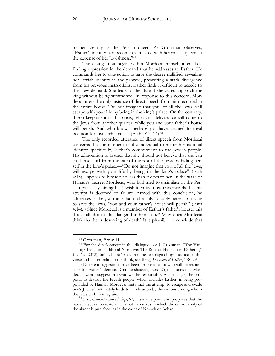to her identity as the Persian queen. As Grossman observes, "Esther's identity had become assimilated with her role as queen, at the expense of her Jewishness."<sup>69</sup>

The change that began within Mordecai himself intensifies, finding expression in the demand that he addresses to Esther. He commands her to take action to have the decree nullified, revealing her Jewish identity in the process, presenting a stark divergence from his previous instructions. Esther finds it difficult to accede to this new demand. She fears for her fate if she dares approach the king without being summoned. In response to this concern, Mordecai utters the only instance of direct speech from him recorded in the entire book: "Do not imagine that you, of all the Jews, will escape with your life by being in the king's palace. On the contrary, if you keep silent in this crisis, relief and deliverance will come to the Jews from another quarter, while you and your father's house will perish. And who knows, perhaps you have attained to royal position for just such a crisis" (Esth 4:13–14).<sup>70</sup>

The only recorded utterance of direct speech from Mordecai concerns the commitment of the individual to his or her national identity: specifically, Esther's commitment to the Jewish people. His admonition to Esther that she should not believe that she can cut herself off from the fate of the rest of the Jews by hiding herself in the king's palace**—**"Do not imagine that you, of all the Jews, will escape with your life by being in the king's palace" (Esth 4:13)**—**applies to himself no less than it does to her. In the wake of Haman's decree, Mordecai, who had tried to assimilate in the Persian palace by hiding his Jewish identity, now understands that his attempt is doomed to failure. Armed with this conclusion, he addresses Esther, warning that if she fails to apply herself to trying to save the Jews, "you and your father's house will perish" (Esth 4:14).<sup>71</sup> Since Mordecai is a member of Esther's father's house, this threat alludes to the danger for him, too.<sup>72</sup> Why does Mordecai think that he is deserving of death? It is plausible to conclude that

<sup>69</sup> Grossman, *Esther*, 114.

<sup>70</sup> For the development in this dialogue, see J. Grossman, "The Vanishing Character in Biblical Narrative: The Role of Hathach in Esther 4," *VT* 62 (2012), 561–71 (567–69). For the teleological significance of this verse and its centrality to the Book, see Berg, *The Book of Esther*, 178–79.

<sup>71</sup> Different suggestions have been proposed as to who will be responsible for Esther's demise. Dommershausen, *Ester*, 25, maintains that Mordecai's words suggest that God will be responsible. At this stage, the proposal to destroy the Jewish people, which includes Esther, is being propounded by Haman. Mordecai hints that the attempt to escape and evade one's Judaism ultimately leads to annihilation by the nations among whom the Jews wish to integrate.

<sup>72</sup> Fox, *Character and Ideology*, 62, raises this point and proposes that the narrator seeks to create an echo of narratives in which the entire family of the sinner is punished, as in the cases of Korach or Achan.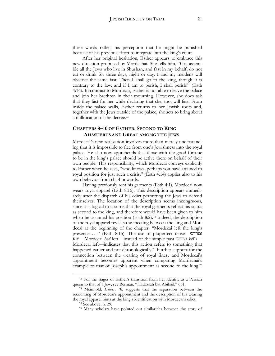these words reflect his perception that he might be punished because of his previous effort to integrate into the king's court.

After her original hesitation, Esther appears to embrace this new direction proposed by Mordechai. She tells him, "Go, assemble all the Jews who live in Shushan, and fast in my behalf; do not eat or drink for three days, night or day. I and my maidens will observe the same fast. Then I shall go to the king, though it is contrary to the law; and if I am to perish, I shall perish!" (Esth 4:16). In contrast to Mordecai, Esther is not able to leave the palace and join her brethren in their mourning. However, she does ask that they fast for her while declaring that she, too, will fast. From inside the palace walls, Esther returns to her Jewish roots and, together with the Jews outside of the palace, she acts to bring about a nullification of the decree.<sup>73</sup>

#### **CHAPTERS 8–10 OF ESTHER: SECOND TO KING AHASUERUS AND GREAT AMONG THE JEWS**

Mordecai's new realization involves more than merely understanding that it is impossible to flee from one's Jewishness into the royal palace. He also now apprehends that those with the good fortune to be in the king's palace should be active there on behalf of their own people. This responsibility, which Mordecai conveys explicitly to Esther when he asks, "who knows, perhaps you have attained to royal position for just such a crisis," (Esth 4:14) applies also to his own behavior from ch. 4 onwards.

Having previously rent his garments (Esth 4:1), Mordecai now wears royal apparel (Esth 8:15). This description appears immediately after the dispatch of his edict permitting the Jews to defend themselves. The location of the description seems incongruous, since it is logical to assume that the royal garments reflect his status as second to the king, and therefore would have been given to him when he assumed his position (Esth 8:2).<sup>74</sup> Indeed, the description of the royal apparel revisits the meeting between the king and Mordecai at the beginning of the chapter: "Mordecai left the king's presence . . ." (Esth 8:15). The use of pluperfect tense ומרדכי יצא**—**Mordecai *had* left**—**instead of the simple past מרדכי ויצא**—** Mordecai left—indicates that this action refers to something that happened earlier and not chronologically.<sup>75</sup> Further support for the connection between the wearing of royal finery and Mordecai's appointment becomes apparent when comparing Mordechai's example to that of Joseph's appointment as second to the king.<sup>76</sup>

<sup>73</sup> For the stages of Esther's transition from her identity as a Persian queen to that of a Jew, see Berman, "Hadassah bat Abihail," 661.

<sup>74</sup> Meinhold, *Esther*, 78, suggests that the separation between the recounting of Mordecai's appointment and the description of his wearing the royal apparel hints at the king's identification with Mordecai's edict.

<span id="page-21-0"></span><sup>75</sup> See above, n. [29.](#page-9-0)

<sup>76</sup> Many scholars have pointed out similarities between the story of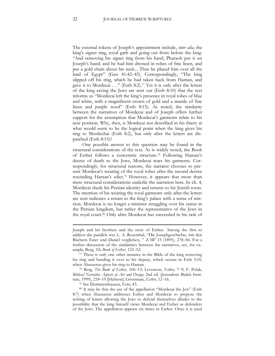The external tokens of Joseph's appointment include, *inter alia*, the king's signet ring, royal garb and going out from before the king: "And removing his signet ring from his hand, Pharaoh put it on Joseph's hand; and he had him dressed in robes of fine linen, and put a gold chain about his neck... Thus he placed him over all the land of Egypt" (Gen 41:42–45). Correspondingly, "The king slipped off his ring, which he had taken back from Haman, and gave it to Mordecai . . ." (Esth 8:2).<sup>77</sup> Yet it is only after the letters of the king saving the Jews are sent out (Esth 8:10) that the text informs us "Mordecai left the king's presence in royal robes of blue and white, with a magnificent crown of gold and a mantle of fine linen and purple wool" (Esth 8:15). As noted, the similarity between the narratives of Mordecai and of Joseph offers further support for the assumption that Mordecai's garments relate to his new position. Why, then, is Mordecai not described in his finery at what would seem to be the logical point when the king gives his ring to Mordechai (Esth 8:2), but only after the letters are dispatched (Esth 8:15)?

One possible answer to this question may be found in the structural considerations of the text. As is widely noted, the Book of Esther follows a concentric structure.<sup>78</sup> Following Haman's decree of death to the Jews, Mordecai tears his garments. Correspondingly, for structural reasons, the narrator chooses to present Mordecai's wearing of the royal robes after the second decree rescinding Haman's edict.<sup>79</sup> However, it appears that more than mere structural considerations underlie the narration here. In ch. 4, Mordecai sheds his Persian identity and returns to his Jewish roots. The mention of his wearing the royal garments only after the letters are sent indicates a return to the king's palace with a sense of mission. Mordecai is no longer a minister struggling over his status in the Persian kingdom, but rather the representative of the Jews in the royal court.<sup>80</sup> Only after Mordecai has succeeded in his task of

<sup>79</sup> See Dommershausen, *Ester*, 43.

Joseph and his brothers and the story of Esther. Among the first to address the parallels was L. A. Rosenthal, "Die Josephgeschichte, mit den Büchern Ester und Daniel verglichen, " *ZAW* 15 (1895), 278–84. For a further discussion of the similarities between the narratives, see, for example, Berg, *The Book of Esther*, 123–52.

<sup>77</sup> There is only one other instance in the Bible of the king removing his ring and handing it over to his deputy, which occurs in Esth 3:10, when Ahasuerus gives his ring to Haman.

<sup>78</sup> Berg, *The Book of Esther*, 106–13; Levenson, *Esther*, 7–9; F. Polak, *Biblical Narrative Aspects of Art and Design*, 2nd ed. (Jerusalem: Bialek Institute, 1999), 218–19 [Hebrew]; Grossman, *Esther*, 12–16.

<sup>80</sup> It may be that the use of the appellation "Mordecai the Jew" (Esth 8:7) when Ahasuerus addresses Esther and Mordecai to propose the writing of letters allowing the Jews to defend themselves alludes to the possibility that the king himself views Mordecai and Esther as defenders of the Jews. The appellation appears six times in Esther. Once it is used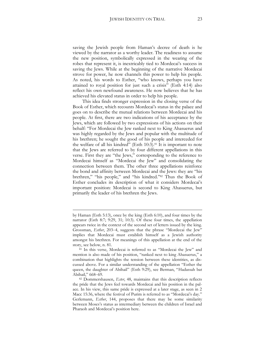saving the Jewish people from Haman's decree of death is he viewed by the narrator as a worthy leader. The readiness to assume the new position, symbolically expressed in the wearing of the robes that represent it, is inextricably tied to Mordecai's success in saving the Jews. While at the beginning of the narrative Mordecai strove for power, he now channels this power to help his people. As noted, his words to Esther, "who knows, perhaps you have attained to royal position for just such a crisis" (Esth 4:14) also reflect his own newfound awareness. He now believes that he has achieved his elevated status in order to help his people.

<span id="page-23-0"></span>This idea finds stronger expression in the closing verse of the Book of Esther, which recounts Mordecai's status in the palace and goes on to describe the mutual relations between Mordecai and his people. At first, there are two indications of his acceptance by the Jews, which are followed by two expressions of his actions on their behalf: "For Mordecai the Jew ranked next to King Ahasuerus and was highly regarded by the Jews and popular with the multitude of his brethren; he sought the good of his people and interceded for the welfare of all his kindred" (Esth 10:3).<sup>81</sup> It is important to note that the Jews are referred to by four different appellations in this verse. First they are "the Jews," corresponding to the reference to Mordecai himself as "Mordecai the Jew" and consolidating the connection between them. The other three appellations reinforce the bond and affinity between Mordecai and the Jews: they are "his brethren," "his people," and "his kindred."<sup>82</sup> Thus the Book of Esther concludes its description of what it considers Mordecai's important position: Mordecai is second to King Ahasuerus, but primarily the leader of his brethren the Jews.

by Haman (Esth 5:13), once by the king (Esth 6:10), and four times by the narrator (Esth 8:7; 9:29, 31; 10:3). Of these four times, the appellation appears twice in the context of the second set of letters issued by the king. Grossman, *Esther*, 203–4, suggests that the phrase "Mordecai the Jew" implies that Mordecai must establish himself as a Jewish authority amongst his brethren. For meanings of this appellation at the end of the story, see below, n. [81.](#page-23-0)

<sup>&</sup>lt;sup>81</sup> In this verse, Mordecai is referred to as "Mordecai the Jew" and mention is also made of his position, "ranked next to king Ahasuerus," a combination that highlights the tension between these identities, as discussed above. For a similar understanding of the appellation "Esther the queen, the daughter of Abihail" (Esth 9:29), see Berman, "Hadassah bat Abihail," 668–69.

<sup>82</sup> Dommershausen, *Ester*, 48, maintains that this description reflects the pride that the Jews feel towards Mordecai and his position in the palace. In his view, this same pride is expressed at a later stage, as seen in 2 Macc 15:36, where the festival of Purim is referred to as "Mordecai's day." Gerlemann, *Esther*, 144, proposes that there may be some similarity between Moses's status as intermediary between the children of Israel and Pharaoh and Mordecai's position here.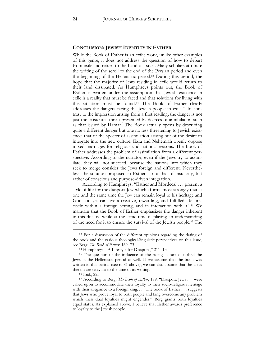#### **CONCLUSION: JEWISH IDENTITY IN ESTHER**

While the Book of Esther is an exilic work, unlike other examples of this genre, it does not address the question of how to depart from exile and return to the Land of Israel. Many scholars attribute the writing of the scroll to the end of the Persian period and even the beginning of the Hellenistic period.<sup>83</sup> During this period, the hope that the majority of Jews residing in exile would return to their land dissipated. As Humphreys points out, the Book of Esther is written under the assumption that Jewish existence in exile is a reality that must be faced and that solutions for living with this situation must be found.<sup>84</sup> The Book of Esther clearly addresses the dangers facing the Jewish people in exile.<sup>85</sup> In contrast to the impression arising from a first reading, the danger is not just the existential threat presented by decrees of annihilation such as that issued by Haman. The Book actually opens by describing quite a different danger but one no less threatening to Jewish existence: that of the specter of assimilation arising out of the desire to integrate into the new culture. Ezra and Nehemiah openly oppose mixed marriages for religious and national reasons. The Book of Esther addresses the problem of assimilation from a different perspective. According to the narrator, even if the Jews try to assimilate, they will not succeed, because the nations into which they seek to merge consider the Jews foreign and different. Nevertheless, the solution proposed in Esther is not that of insularity, but rather of conscious and purpose-driven integration.

According to Humphreys, "Esther and Mordecai . . . present a style of life for the diaspora Jew which affirms most strongly that at one and the same time the Jew can remain loyal to his heritage and God and yet can live a creative, rewarding, and fulfilled life precisely within a foreign setting, and in interaction with it."<sup>86</sup> We maintain that the Book of Esther emphasizes the danger inherent in this duality, while at the same time displaying an understanding of the need for it to ensure the survival of the Jewish people.<sup>87</sup> The

<sup>83</sup> For a discussion of the different opinions regarding the dating of the book and the various theological-linguistic perspectives on this issue, see Berg, *The Book of Esther*, 169–73.

<sup>84</sup> Humphreys, "A Lifestyle for Diaspora," 211–13.

<sup>&</sup>lt;sup>85</sup> The question of the influence of the ruling culture disturbed the Jews in the Hellenistic period as well. If we assume that the book was written in this period (see n. 81 above), we can also assume that the ideas therein are relevant to the time of its writing.

<sup>86</sup> Ibid., 223.

<sup>87</sup> According to Berg, *The Book of Esther*, 179: "Diaspora Jews . . . were called upon to accommodate their loyalty to their socio-religious heritage with their allegiance to a foreign king. . . . The book of Esther . . . suggests that Jews who prove loyal to both people and king overcome any problem which their dual loyalties might engender." Berg grants both loyalties equal status. As explained above, I believe that Esther awards preference to loyalty to the Jewish people.